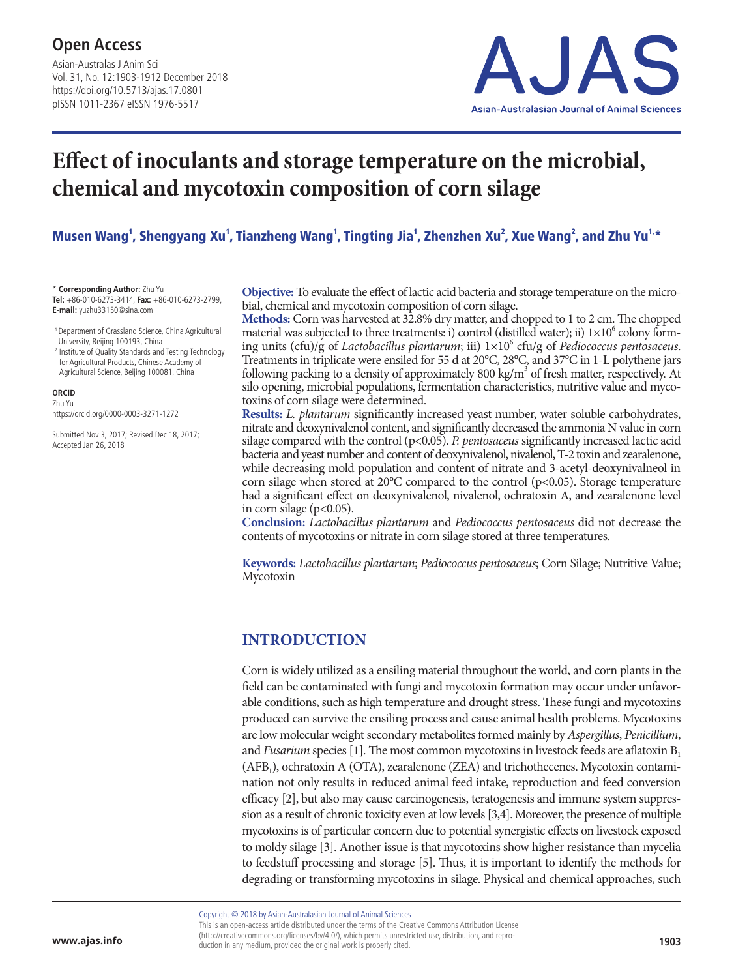Asian-Australas J Anim Sci Vol. 31, No. 12:1903-1912 December 2018 https://doi.org/10.5713/ajas.17.0801 pISSN 1011-2367 eISSN 1976-5517



# **Effect of inoculants and storage temperature on the microbial, chemical and mycotoxin composition of corn silage**

Musen Wang<sup>1</sup>, Shengyang Xu<sup>1</sup>, Tianzheng Wang<sup>1</sup>, Tingting Jia<sup>1</sup>, Zhenzhen Xu<sup>2</sup>, Xue Wang<sup>2</sup>, and Zhu Yu<sup>1,</sup>\*

\* **Corresponding Author:** Zhu Yu **Tel:** +86-010-6273-3414, **Fax:** +86-010-6273-2799, **E-mail:** yuzhu33150@sina.com

- 1 Department of Grassland Science, China Agricultural University, Beijing 100193, China
- <sup>2</sup> Institute of Quality Standards and Testing Technology for Agricultural Products, Chinese Academy of Agricultural Science, Beijing 100081, China

#### **ORCID**

Zhu Yu https://orcid.org/0000-0003-3271-1272

Submitted Nov 3, 2017; Revised Dec 18, 2017; Accepted Jan 26, 2018

**Objective:** To evaluate the effect of lactic acid bacteria and storage temperature on the microbial, chemical and mycotoxin composition of corn silage.

**Methods:** Corn was harvested at 32.8% dry matter, and chopped to 1 to 2 cm. The chopped material was subjected to three treatments: i) control (distilled water); ii)  $1\times10^6$  colony forming units (cfu)/g of *Lactobacillus plantarum*; iii) 1×106 cfu/g of *Pediococcus pentosaceus*. Treatments in triplicate were ensiled for 55 d at 20°C, 28°C, and 37°C in 1-L polythene jars following packing to a density of approximately 800 kg/m<sup>3</sup> of fresh matter, respectively. At silo opening, microbial populations, fermentation characteristics, nutritive value and mycotoxins of corn silage were determined.

**Results:** *L. plantarum* significantly increased yeast number, water soluble carbohydrates, nitrate and deoxynivalenol content, and significantly decreased the ammonia N value in corn silage compared with the control (p<0.05). *P. pentosaceus* significantly increased lactic acid bacteria and yeast number and content of deoxynivalenol, nivalenol, T-2 toxin and zearalenone, while decreasing mold population and content of nitrate and 3-acetyl-deoxynivalneol in corn silage when stored at  $20^{\circ}$ C compared to the control (p<0.05). Storage temperature had a significant effect on deoxynivalenol, nivalenol, ochratoxin A, and zearalenone level in corn silage ( $p<0.05$ ).

**Conclusion:** *Lactobacillus plantarum* and *Pediococcus pentosaceus* did not decrease the contents of mycotoxins or nitrate in corn silage stored at three temperatures.

**Keywords:** *Lactobacillus plantarum*; *Pediococcus pentosaceus*; Corn Silage; Nutritive Value; Mycotoxin

## **INTRODUCTION**

Corn is widely utilized as a ensiling material throughout the world, and corn plants in the field can be contaminated with fungi and mycotoxin formation may occur under unfavorable conditions, such as high temperature and drought stress. These fungi and mycotoxins produced can survive the ensiling process and cause animal health problems. Mycotoxins are low molecular weight secondary metabolites formed mainly by *Aspergillus*, *Penicillium*, and *Fusarium* species [1]. The most common mycotoxins in livestock feeds are aflatoxin  $B_1$  $(AFB<sub>1</sub>)$ , ochratoxin A (OTA), zearalenone (ZEA) and trichothecenes. Mycotoxin contamination not only results in reduced animal feed intake, reproduction and feed conversion efficacy [2], but also may cause carcinogenesis, teratogenesis and immune system suppression as a result of chronic toxicity even at low levels [3,4]. Moreover, the presence of multiple mycotoxins is of particular concern due to potential synergistic effects on livestock exposed to moldy silage [3]. Another issue is that mycotoxins show higher resistance than mycelia to feedstuff processing and storage [5]. Thus, it is important to identify the methods for degrading or transforming mycotoxins in silage. Physical and chemical approaches, such

Copyright © 2018 by Asian-Australasian Journal of Animal Sciences This is an open-access article distributed under the terms of the Creative Commons Attribution License (http://creativecommons.org/licenses/by/4.0/), which permits unrestricted use, distribution, and repro- **www.ajas.info** duction in any medium, provided the original work is properly cited.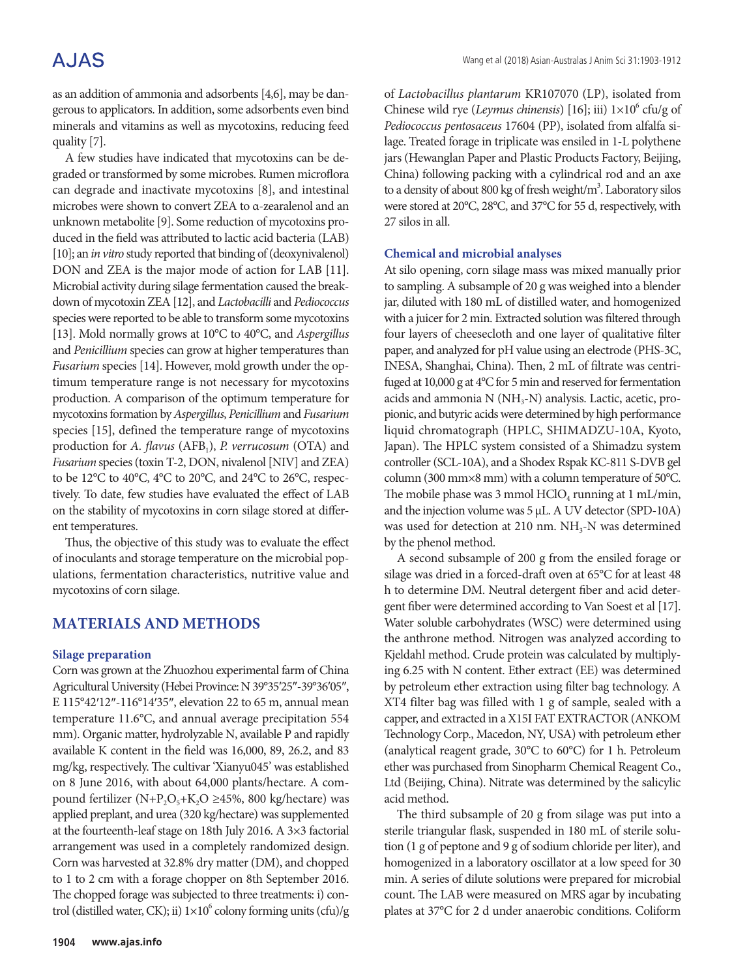as an addition of ammonia and adsorbents [4,6], may be dangerous to applicators. In addition, some adsorbents even bind minerals and vitamins as well as mycotoxins, reducing feed quality [7].

A few studies have indicated that mycotoxins can be degraded or transformed by some microbes. Rumen microflora can degrade and inactivate mycotoxins [8], and intestinal microbes were shown to convert ZEA to α-zearalenol and an unknown metabolite [9]. Some reduction of mycotoxins produced in the field was attributed to lactic acid bacteria (LAB) [10]; an *in vitro* study reported that binding of (deoxynivalenol) DON and ZEA is the major mode of action for LAB [11]. Microbial activity during silage fermentation caused the breakdown of mycotoxin ZEA [12], and *Lactobacilli* and *Pediococcus*  species were reported to be able to transform some mycotoxins [13]. Mold normally grows at 10°C to 40°C, and *Aspergillus* and *Penicillium* species can grow at higher temperatures than *Fusarium* species [14]. However, mold growth under the optimum temperature range is not necessary for mycotoxins production. A comparison of the optimum temperature for mycotoxins formation by *Aspergillus*, *Penicillium* and *Fusarium* species [15], defined the temperature range of mycotoxins production for *A. flavus* (AFB<sub>1</sub>), *P. verrucosum* (OTA) and *Fusarium* species (toxin T-2, DON, nivalenol [NIV] and ZEA) to be 12°C to 40°C, 4°C to 20°C, and 24°C to 26°C, respectively. To date, few studies have evaluated the effect of LAB on the stability of mycotoxins in corn silage stored at different temperatures.

Thus, the objective of this study was to evaluate the effect of inoculants and storage temperature on the microbial populations, fermentation characteristics, nutritive value and mycotoxins of corn silage.

## **MATERIALS AND METHODS**

### **Silage preparation**

Corn was grown at the Zhuozhou experimental farm of China Agricultural University (Hebei Province: N 39°35′25″-39°36′05″, E 115°42′12″-116°14′35″, elevation 22 to 65 m, annual mean temperature 11.6°C, and annual average precipitation 554 mm). Organic matter, hydrolyzable N, available P and rapidly available K content in the field was 16,000, 89, 26.2, and 83 mg/kg, respectively. The cultivar 'Xianyu045' was established on 8 June 2016, with about 64,000 plants/hectare. A compound fertilizer (N+P<sub>2</sub>O<sub>5</sub>+K<sub>2</sub>O ≥45%, 800 kg/hectare) was applied preplant, and urea (320 kg/hectare) was supplemented at the fourteenth-leaf stage on 18th July 2016. A 3×3 factorial arrangement was used in a completely randomized design. Corn was harvested at 32.8% dry matter (DM), and chopped to 1 to 2 cm with a forage chopper on 8th September 2016. The chopped forage was subjected to three treatments: i) control (distilled water, CK); ii)  $1 \times 10^6$  colony forming units (cfu)/g of *Lactobacillus plantarum* KR107070 (LP), isolated from Chinese wild rye (Leymus chinensis) [16]; iii)  $1 \times 10^6$  cfu/g of *Pediococcus pentosaceus* 17604 (PP), isolated from alfalfa silage. Treated forage in triplicate was ensiled in 1-L polythene jars (Hewanglan Paper and Plastic Products Factory, Beijing, China) following packing with a cylindrical rod and an axe to a density of about 800 kg of fresh weight/m<sup>3</sup>. Laboratory silos were stored at 20°C, 28°C, and 37°C for 55 d, respectively, with 27 silos in all.

### **Chemical and microbial analyses**

At silo opening, corn silage mass was mixed manually prior to sampling. A subsample of 20 g was weighed into a blender jar, diluted with 180 mL of distilled water, and homogenized with a juicer for 2 min. Extracted solution was filtered through four layers of cheesecloth and one layer of qualitative filter paper, and analyzed for pH value using an electrode (PHS-3C, INESA, Shanghai, China). Then, 2 mL of filtrate was centrifuged at 10,000 g at 4°C for 5 min and reserved for fermentation acids and ammonia  $N(NH_3-N)$  analysis. Lactic, acetic, propionic, and butyric acids were determined by high performance liquid chromatograph (HPLC, SHIMADZU-10A, Kyoto, Japan). The HPLC system consisted of a Shimadzu system controller (SCL-10A), and a Shodex Rspak KC-811 S-DVB gel column (300 mm×8 mm) with a column temperature of 50°C. The mobile phase was 3 mmol  $HClO<sub>4</sub>$  running at 1 mL/min, and the injection volume was 5 μL. A UV detector (SPD-10A) was used for detection at 210 nm. NH<sub>3</sub>-N was determined by the phenol method.

A second subsample of 200 g from the ensiled forage or silage was dried in a forced-draft oven at 65°C for at least 48 h to determine DM. Neutral detergent fiber and acid detergent fiber were determined according to Van Soest et al [17]. Water soluble carbohydrates (WSC) were determined using the anthrone method. Nitrogen was analyzed according to Kjeldahl method. Crude protein was calculated by multiplying 6.25 with N content. Ether extract (EE) was determined by petroleum ether extraction using filter bag technology. A XT4 filter bag was filled with 1 g of sample, sealed with a capper, and extracted in a X15I FAT EXTRACTOR (ANKOM Technology Corp., Macedon, NY, USA) with petroleum ether (analytical reagent grade, 30°C to 60°C) for 1 h. Petroleum ether was purchased from Sinopharm Chemical Reagent Co., Ltd (Beijing, China). Nitrate was determined by the salicylic acid method.

The third subsample of 20 g from silage was put into a sterile triangular flask, suspended in 180 mL of sterile solution (1 g of peptone and 9 g of sodium chloride per liter), and homogenized in a laboratory oscillator at a low speed for 30 min. A series of dilute solutions were prepared for microbial count. The LAB were measured on MRS agar by incubating plates at 37°C for 2 d under anaerobic conditions. Coliform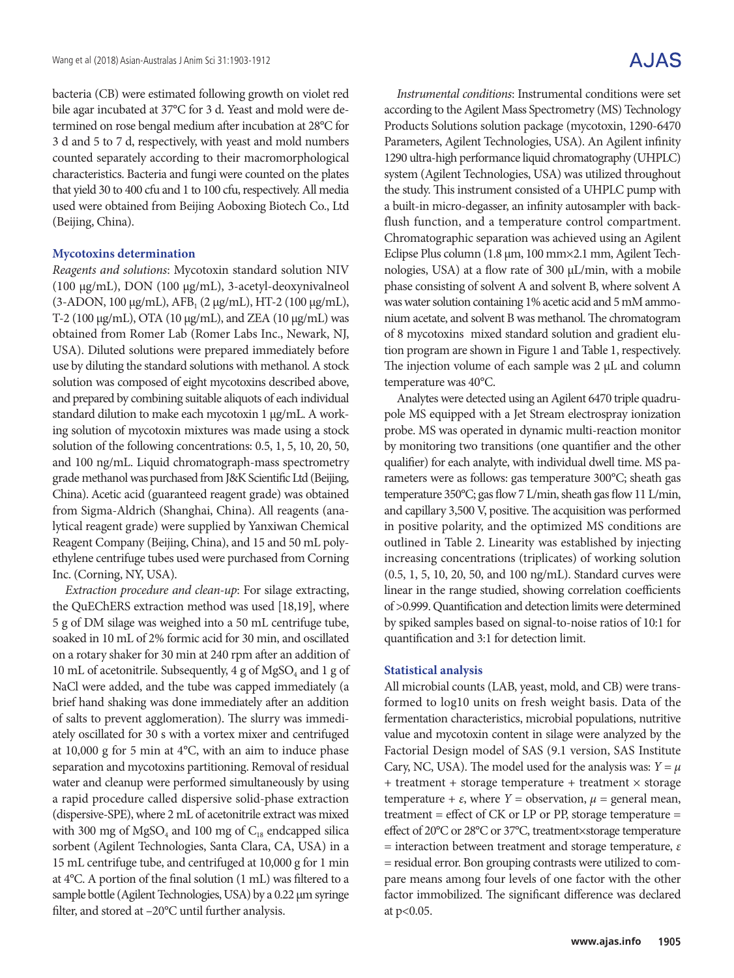bacteria (CB) were estimated following growth on violet red bile agar incubated at 37°C for 3 d. Yeast and mold were determined on rose bengal medium after incubation at 28°C for 3 d and 5 to 7 d, respectively, with yeast and mold numbers counted separately according to their macromorphological characteristics. Bacteria and fungi were counted on the plates that yield 30 to 400 cfu and 1 to 100 cfu, respectively. All media used were obtained from Beijing Aoboxing Biotech Co., Ltd (Beijing, China).

#### **Mycotoxins determination**

*Reagents and solutions*: Mycotoxin standard solution NIV (100 μg/mL), DON (100 μg/mL), 3-acetyl-deoxynivalneol (3-ADON, 100 μg/mL), AFB<sub>1</sub> (2 μg/mL), HT-2 (100 μg/mL), T-2 (100 μg/mL), OTA (10 μg/mL), and ZEA (10 μg/mL) was obtained from Romer Lab (Romer Labs Inc., Newark, NJ, USA). Diluted solutions were prepared immediately before use by diluting the standard solutions with methanol. A stock solution was composed of eight mycotoxins described above, and prepared by combining suitable aliquots of each individual standard dilution to make each mycotoxin 1 μg/mL. A working solution of mycotoxin mixtures was made using a stock solution of the following concentrations: 0.5, 1, 5, 10, 20, 50, and 100 ng/mL. Liquid chromatograph-mass spectrometry grade methanol was purchased from J&K Scientific Ltd (Beijing, China). Acetic acid (guaranteed reagent grade) was obtained from Sigma-Aldrich (Shanghai, China). All reagents (analytical reagent grade) were supplied by Yanxiwan Chemical Reagent Company (Beijing, China), and 15 and 50 mL polyethylene centrifuge tubes used were purchased from Corning Inc. (Corning, NY, USA).

*Extraction procedure and clean-up*: For silage extracting, the QuEChERS extraction method was used [18,19], where 5 g of DM silage was weighed into a 50 mL centrifuge tube, soaked in 10 mL of 2% formic acid for 30 min, and oscillated on a rotary shaker for 30 min at 240 rpm after an addition of 10 mL of acetonitrile. Subsequently, 4 g of  $MgSO<sub>4</sub>$  and 1 g of NaCl were added, and the tube was capped immediately (a brief hand shaking was done immediately after an addition of salts to prevent agglomeration). The slurry was immediately oscillated for 30 s with a vortex mixer and centrifuged at 10,000 g for 5 min at 4°C, with an aim to induce phase separation and mycotoxins partitioning. Removal of residual water and cleanup were performed simultaneously by using a rapid procedure called dispersive solid-phase extraction (dispersive-SPE), where 2 mL of acetonitrile extract was mixed with 300 mg of  $MgSO<sub>4</sub>$  and 100 mg of  $C<sub>18</sub>$  endcapped silica sorbent (Agilent Technologies, Santa Clara, CA, USA) in a 15 mL centrifuge tube, and centrifuged at 10,000 g for 1 min at 4°C. A portion of the final solution (1 mL) was filtered to a sample bottle (Agilent Technologies, USA) by a 0.22 μm syringe filter, and stored at –20°C until further analysis.

*Instrumental conditions*: Instrumental conditions were set according to the Agilent Mass Spectrometry (MS) Technology Products Solutions solution package (mycotoxin, 1290-6470 Parameters, Agilent Technologies, USA). An Agilent infinity 1290 ultra-high performance liquid chromatography (UHPLC) system (Agilent Technologies, USA) was utilized throughout the study. This instrument consisted of a UHPLC pump with a built-in micro-degasser, an infinity autosampler with backflush function, and a temperature control compartment. Chromatographic separation was achieved using an Agilent Eclipse Plus column (1.8 μm, 100 mm×2.1 mm, Agilent Technologies, USA) at a flow rate of 300 μL/min, with a mobile phase consisting of solvent A and solvent B, where solvent A was water solution containing 1% acetic acid and 5 mM ammonium acetate, and solvent B was methanol. The chromatogram of 8 mycotoxins mixed standard solution and gradient elution program are shown in Figure 1 and Table 1, respectively. The injection volume of each sample was 2 μL and column temperature was 40°C.

Analytes were detected using an Agilent 6470 triple quadrupole MS equipped with a Jet Stream electrospray ionization probe. MS was operated in dynamic multi-reaction monitor by monitoring two transitions (one quantifier and the other qualifier) for each analyte, with individual dwell time. MS parameters were as follows: gas temperature 300°C; sheath gas temperature 350°C; gas flow 7 L/min, sheath gas flow 11 L/min, and capillary 3,500 V, positive. The acquisition was performed in positive polarity, and the optimized MS conditions are outlined in Table 2. Linearity was established by injecting increasing concentrations (triplicates) of working solution (0.5, 1, 5, 10, 20, 50, and 100 ng/mL). Standard curves were linear in the range studied, showing correlation coefficients of >0.999. Quantification and detection limits were determined by spiked samples based on signal-to-noise ratios of 10:1 for quantification and 3:1 for detection limit.

#### **Statistical analysis**

All microbial counts (LAB, yeast, mold, and CB) were transformed to log10 units on fresh weight basis. Data of the fermentation characteristics, microbial populations, nutritive value and mycotoxin content in silage were analyzed by the Factorial Design model of SAS (9.1 version, SAS Institute Cary, NC, USA). The model used for the analysis was:  $Y = \mu$ + treatment + storage temperature + treatment × storage temperature +  $ε$ , where *Y* = observation,  $μ$  = general mean, treatment = effect of CK or LP or PP, storage temperature = effect of 20°C or 28°C or 37°C, treatment×storage temperature = interaction between treatment and storage temperature, *ε* = residual error. Bon grouping contrasts were utilized to compare means among four levels of one factor with the other factor immobilized. The significant difference was declared at p<0.05.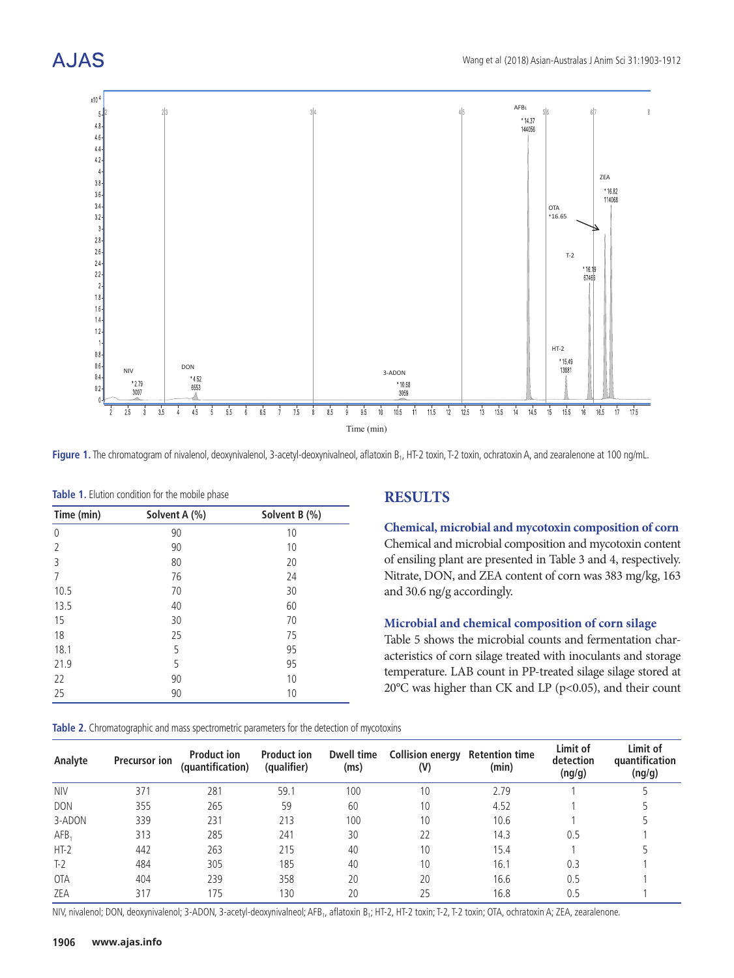



Figure 1. The chromatogram of nivalenol, deoxynivalenol, 3-acetyl-deoxynivalneol, aflatoxin B<sub>1</sub>, HT-2 toxin, T-2 toxin, ochratoxin A, and zearalenone at 100 ng/mL.

| Time (min) | Solvent A (%) | Solvent B (%) |
|------------|---------------|---------------|
| $\theta$   | 90            | 10            |
| 2          | 90            | 10            |
| 3          | 80            | 20            |
| 7          | 76            | 24            |
| 10.5       | 70            | 30            |
| 13.5       | 40            | 60            |
| 15         | 30            | 70            |
| 18         | 25            | 75            |
| 18.1       | 5             | 95            |
| 21.9       | 5             | 95            |
| 22         | 90            | 10            |
| 25         | 90            | 10            |

|  |  |  | Table 1. Elution condition for the mobile phase |  |  |  |
|--|--|--|-------------------------------------------------|--|--|--|
|--|--|--|-------------------------------------------------|--|--|--|

## **RESULTS**

**Chemical, microbial and mycotoxin composition of corn** Chemical and microbial composition and mycotoxin content of ensiling plant are presented in Table 3 and 4, respectively. Nitrate, DON, and ZEA content of corn was 383 mg/kg, 163 and 30.6 ng/g accordingly.

### **Microbial and chemical composition of corn silage**

Table 5 shows the microbial counts and fermentation characteristics of corn silage treated with inoculants and storage temperature. LAB count in PP-treated silage silage stored at 20 $^{\circ}$ C was higher than CK and LP (p<0.05), and their count

|  |  | <b>Table 2.</b> Chromatographic and mass spectrometric parameters for the detection of mycotoxins |
|--|--|---------------------------------------------------------------------------------------------------|
|  |  |                                                                                                   |

| Analyte          | <b>Precursor ion</b> | <b>Product ion</b><br>(quantification) | <b>Product ion</b><br>(qualifier) | Dwell time<br>(ms) | <b>Collision energy Retention time</b><br>(V) | (min) | Limit of<br>detection<br>(ng/g) | Limit of<br>quantification<br>(ng/g) |
|------------------|----------------------|----------------------------------------|-----------------------------------|--------------------|-----------------------------------------------|-------|---------------------------------|--------------------------------------|
| <b>NIV</b>       | 371                  | 281                                    | 59.1                              | 100                | 10                                            | 2.79  |                                 |                                      |
| <b>DON</b>       | 355                  | 265                                    | 59                                | 60                 | 10                                            | 4.52  |                                 |                                      |
| 3-ADON           | 339                  | 231                                    | 213                               | 100                | 10                                            | 10.6  |                                 |                                      |
| AFB <sub>1</sub> | 313                  | 285                                    | 241                               | 30                 | 22                                            | 14.3  | 0.5                             |                                      |
| $HT-2$           | 442                  | 263                                    | 215                               | 40                 | 10                                            | 15.4  |                                 |                                      |
| $T-2$            | 484                  | 305                                    | 185                               | 40                 | 10                                            | 16.1  | 0.3                             |                                      |
| <b>OTA</b>       | 404                  | 239                                    | 358                               | 20                 | 20                                            | 16.6  | 0.5                             |                                      |
| ZEA              | 317                  | 175                                    | 130                               | 20                 | 25                                            | 16.8  | 0.5                             |                                      |

NIV, nivalenol; DON, deoxynivalenol; 3-ADON, 3-acetyl-deoxynivalneol; AFB<sub>1</sub>, aflatoxin B<sub>1</sub>; HT-2, HT-2 toxin; T-2, T-2 toxin; OTA, ochratoxin A; ZEA, zearalenone.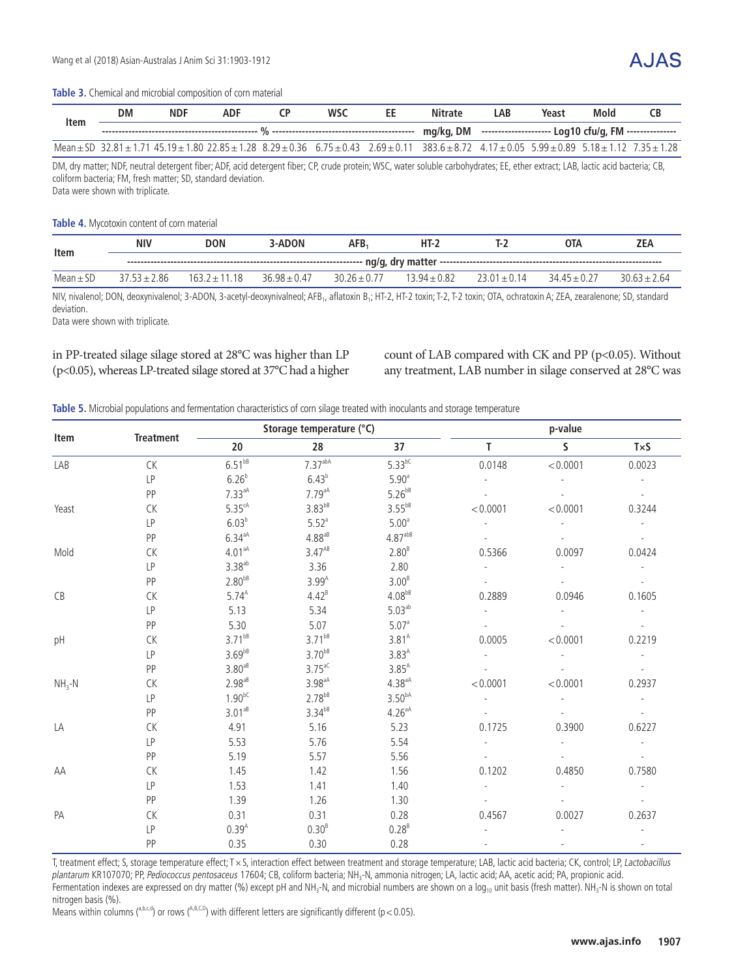#### **Table 3.** Chemical and microbial composition of corn material

| Item | DM | <b>NDF</b> | <b>ADF</b> | <b>WSC</b> | EE | <b>Nitrate</b>                                                                                                                                                                                                                | LAB | Yeast | Mold | <b>CB</b> |
|------|----|------------|------------|------------|----|-------------------------------------------------------------------------------------------------------------------------------------------------------------------------------------------------------------------------------|-----|-------|------|-----------|
|      |    |            |            |            |    |                                                                                                                                                                                                                               |     |       |      |           |
|      |    |            |            |            |    | Mean $\pm$ SD 32.81 $\pm$ 1.71 45.19 $\pm$ 1.80 22.85 $\pm$ 1.28 8.29 $\pm$ 0.36 6.75 $\pm$ 0.43 2.69 $\pm$ 0.11 383.6 $\pm$ 8.72 4.17 $\pm$ 0.05 5.99 $\pm$ 0.89 5.18 $\pm$ 1.12 7.35 $\pm$ 1.28                             |     |       |      |           |
|      |    |            |            |            |    | na that a since a life in the contract of the contract of the contract of the contract of the contract of the contract of the contract of the contract of the contract of the contract of the contract of the contract of the |     |       |      |           |

DM, dry matter; NDF, neutral detergent fiber; ADF, acid detergent fiber; CP, crude protein; WSC, water soluble carbohydrates; EE, ether extract; LAB, lactic acid bacteria; CB, coliform bacteria; FM, fresh matter; SD, standard deviation.

Data were shown with triplicate.

#### **Table 4.** Mycotoxin content of corn material

| Item          | <b>NIV</b> | DON                                                                                                                                                                                                                                                                                                                                                                                                                                                                                            | 3-ADON           | AFB.          | $HT-2$           |  | OTA         | <b>ZEA</b>   |  |  |
|---------------|------------|------------------------------------------------------------------------------------------------------------------------------------------------------------------------------------------------------------------------------------------------------------------------------------------------------------------------------------------------------------------------------------------------------------------------------------------------------------------------------------------------|------------------|---------------|------------------|--|-------------|--------------|--|--|
|               |            | $\mathsf{ng/g}, \mathsf{dry}\ \mathsf{matter}\ \mathsf{con} \ \mathsf{con} \ \mathsf{con} \ \mathsf{con} \ \mathsf{map} \ \mathsf{map} \ \mathsf{in} \ \mathsf{sup} \ \mathsf{sup} \ \mathsf{sup} \ \mathsf{sup} \ \mathsf{sup} \ \mathsf{sup} \ \mathsf{sup} \ \mathsf{sup} \ \mathsf{sup} \ \mathsf{sup} \ \mathsf{sup} \ \mathsf{sup} \ \mathsf{sup} \ \mathsf{sup} \ \mathsf{sup} \ \mathsf{sup} \ \mathsf{sup} \ \mathsf{sup} \ \mathsf{sup} \ \mathsf{sup} \ \mathsf{sup} \ \mathsf{sup$ |                  |               |                  |  |             |              |  |  |
| Mean $\pm$ SD | 2.86       | 163.7<br>18                                                                                                                                                                                                                                                                                                                                                                                                                                                                                    | $36.98 \pm 0.47$ | $30.26 + 0.7$ | $13.94 \pm 0.82$ |  | $3445 + 02$ | $3063 + 264$ |  |  |

NIV, nivalenol; DON, deoxynivalenol; 3-ADON, 3-acetyl-deoxynivalneol; AFB<sub>1</sub>, aflatoxin B<sub>1</sub>; HT-2, HT-2 toxin; T-2, T-2 toxin; OTA, ochratoxin A; ZEA, zearalenone; SD, standard deviation.

Data were shown with triplicate.

### in PP-treated silage silage stored at 28°C was higher than LP (p<0.05), whereas LP-treated silage stored at 37°C had a higher

count of LAB compared with CK and PP (p<0.05). Without any treatment, LAB number in silage conserved at 28°C was

#### **Table 5.** Microbial populations and fermentation characteristics of corn silage treated with inoculants and storage temperature

|         |                  |                      | Storage temperature (°C) |                    | p-value        |              |                             |  |  |
|---------|------------------|----------------------|--------------------------|--------------------|----------------|--------------|-----------------------------|--|--|
| Item    | <b>Treatment</b> | 20                   | 28                       | 37                 | T.             | $\mathsf{S}$ | TxS                         |  |  |
| LAB     | <b>CK</b>        | $6.51^{bB}$          | 7.37 <sup>abA</sup>      | $5.33^{bC}$        | 0.0148         | < 0.0001     | 0.0023                      |  |  |
|         | <b>LP</b>        | 6.26 <sup>b</sup>    | 6.43 <sup>b</sup>        | 5.90 <sup>a</sup>  |                |              |                             |  |  |
|         | PP               | $7.33aA}$            | $7.79aA}$                | $5.26^{bB}$        |                |              |                             |  |  |
| Yeast   | <b>CK</b>        | $5.35^{\text{cA}}$   | $3.83^{bB}$              | $3.55^{bB}$        | < 0.0001       | < 0.0001     | 0.3244                      |  |  |
|         | LP               | 6.03 <sup>b</sup>    | $5.52$ <sup>a</sup>      | 5.00 <sup>a</sup>  |                |              |                             |  |  |
|         | PP               | $6.34aA}$            | $4.88$ <sup>aB</sup>     | $4.87^{abB}$       |                |              |                             |  |  |
| Mold    | CK               | $4.01aA}$            | $3.47^{AB}$              | 2.80 <sup>B</sup>  | 0.5366         | 0.0097       | 0.0424                      |  |  |
|         | LP               | $3.38$ <sup>ab</sup> | 3.36                     | 2.80               |                |              |                             |  |  |
|         | PP               | $2.80^{bB}$          | $3.99^{A}$               | 3.00 <sup>B</sup>  |                |              |                             |  |  |
| CB      | CK               | $5.74^{A}$           | $4.42^{B}$               | $4.08^{bB}$        | 0.2889         | 0.0946       | 0.1605                      |  |  |
|         | <b>LP</b>        | 5.13                 | 5.34                     | 5.03 <sup>ab</sup> |                |              |                             |  |  |
|         | PP               | 5.30                 | 5.07                     | 5.07 <sup>a</sup>  |                |              |                             |  |  |
| pH      | <b>CK</b>        | $3.71^{bB}$          | $3.71^{bB}$              | $3.81^{A}$         | 0.0005         | < 0.0001     | 0.2219                      |  |  |
|         | LP               | $3.69^{bB}$          | $3.70^{bB}$              | $3.83^{A}$         |                |              |                             |  |  |
|         | PP               | $3.80^{ab}$          | $3.75$ <sup>aC</sup>     | $3.85^{A}$         |                |              |                             |  |  |
| $NH3-N$ | CK               | $2.98^{aB}$          | $3.98a{aA}$              | $4.38a{aA}$        | < 0.0001       | < 0.0001     | 0.2937                      |  |  |
|         | <b>LP</b>        | $1.90^{bC}$          | $2.78^{bB}$              | 3.50 <sup>bA</sup> | $\overline{a}$ |              | $\mathcal{L}_{\mathcal{A}}$ |  |  |
|         | PP               | $3.01^{aB}$          | $3.34^{bB}$              | $4.26aA}$          |                |              |                             |  |  |
| LA      | CK               | 4.91                 | 5.16                     | 5.23               | 0.1725         | 0.3900       | 0.6227                      |  |  |
|         | LP               | 5.53                 | 5.76                     | 5.54               |                |              |                             |  |  |
|         | PP               | 5.19                 | 5.57                     | 5.56               |                |              |                             |  |  |
| AA      | CK               | 1.45                 | 1.42                     | 1.56               | 0.1202         | 0.4850       | 0.7580                      |  |  |
|         | <b>LP</b>        | 1.53                 | 1.41                     | 1.40               |                |              |                             |  |  |
|         | PP               | 1.39                 | 1.26                     | 1.30               |                |              |                             |  |  |
| PA      | CK               | 0.31                 | 0.31                     | 0.28               | 0.4567         | 0.0027       | 0.2637                      |  |  |
|         | LP               | $0.39^{A}$           | 0.30 <sup>B</sup>        | $0.28^{B}$         |                |              |                             |  |  |
|         | PP               | 0.35                 | 0.30                     | 0.28               |                |              |                             |  |  |

T, treatment effect; S, storage temperature effect; T × S, interaction effect between treatment and storage temperature; LAB, lactic acid bacteria; CK, control; LP, Lactobacillus plantarum KR107070; PP, Pediococcus pentosaceus 17604; CB, coliform bacteria; NH<sub>3</sub>-N, ammonia nitrogen; LA, lactic acid; AA, acetic acid; PA, propionic acid. Fermentation indexes are expressed on dry matter (%) except pH and NH<sub>3</sub>-N, and microbial numbers are shown on a  $log_{10}$  unit basis (fresh matter). NH<sub>3</sub>-N is shown on total nitrogen basis (%).

Means within columns (a,b,c,d) or rows (A,B,C,D) with different letters are significantly different (p < 0.05).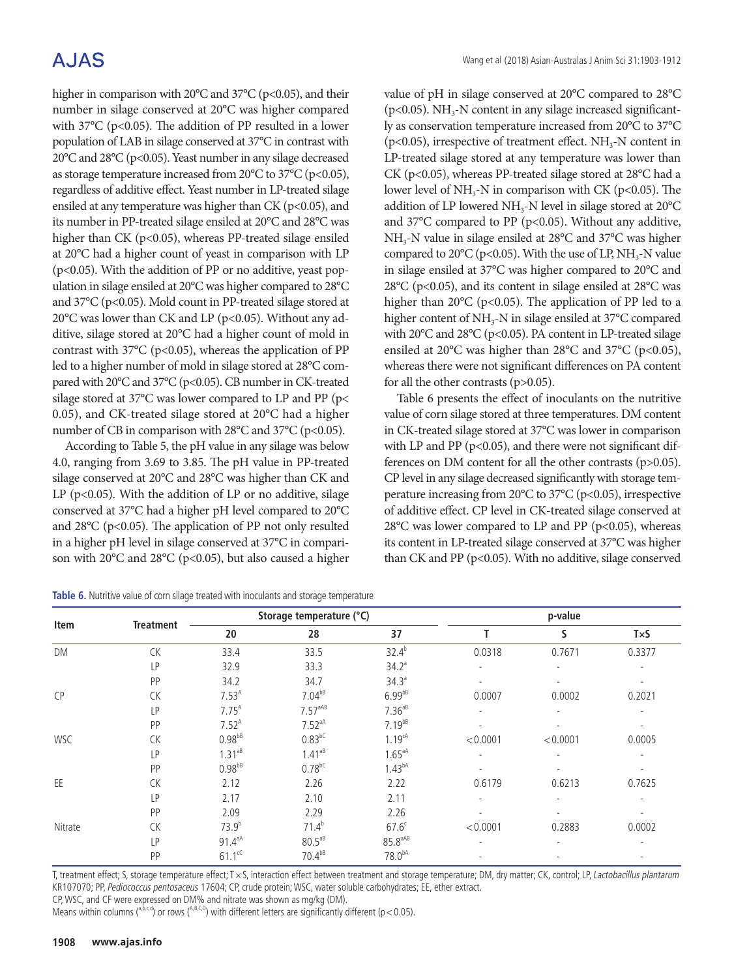higher in comparison with  $20^{\circ}$ C and  $37^{\circ}$ C (p<0.05), and their number in silage conserved at 20°C was higher compared with  $37^{\circ}$ C (p<0.05). The addition of PP resulted in a lower population of LAB in silage conserved at 37°C in contrast with 20°C and 28°C (p<0.05). Yeast number in any silage decreased as storage temperature increased from 20°C to 37°C (p<0.05), regardless of additive effect. Yeast number in LP-treated silage ensiled at any temperature was higher than CK ( $p$ <0.05), and its number in PP-treated silage ensiled at 20°C and 28°C was higher than CK (p<0.05), whereas PP-treated silage ensiled at 20°C had a higher count of yeast in comparison with LP (p<0.05). With the addition of PP or no additive, yeast population in silage ensiled at 20°C was higher compared to 28°C and 37°C (p<0.05). Mold count in PP-treated silage stored at 20 $^{\circ}$ C was lower than CK and LP (p<0.05). Without any additive, silage stored at 20°C had a higher count of mold in contrast with 37 $\degree$ C (p<0.05), whereas the application of PP led to a higher number of mold in silage stored at 28°C compared with 20°C and 37°C (p<0.05). CB number in CK-treated silage stored at 37°C was lower compared to LP and PP (p< 0.05), and CK-treated silage stored at 20°C had a higher number of CB in comparison with 28°C and 37°C (p<0.05).

According to Table 5, the pH value in any silage was below 4.0, ranging from 3.69 to 3.85. The pH value in PP-treated silage conserved at 20°C and 28°C was higher than CK and LP ( $p$ <0.05). With the addition of LP or no additive, silage conserved at 37°C had a higher pH level compared to 20°C and 28°C (p<0.05). The application of PP not only resulted in a higher pH level in silage conserved at 37°C in comparison with 20°C and 28°C (p<0.05), but also caused a higher value of pH in silage conserved at 20°C compared to 28°C ( $p$ <0.05). NH<sub>3</sub>-N content in any silage increased significantly as conservation temperature increased from 20°C to 37°C ( $p$ <0.05), irrespective of treatment effect. NH<sub>3</sub>-N content in LP-treated silage stored at any temperature was lower than CK (p<0.05), whereas PP-treated silage stored at 28°C had a lower level of  $NH_{3}$ -N in comparison with CK (p<0.05). The addition of LP lowered NH<sub>3</sub>-N level in silage stored at 20°C and 37°C compared to PP (p<0.05). Without any additive, NH3-N value in silage ensiled at 28°C and 37°C was higher compared to 20 $^{\circ}$ C (p<0.05). With the use of LP, NH<sub>3</sub>-N value in silage ensiled at 37°C was higher compared to 20°C and 28°C (p<0.05), and its content in silage ensiled at 28°C was higher than 20 $^{\circ}$ C (p<0.05). The application of PP led to a higher content of NH<sub>3</sub>-N in silage ensiled at 37°C compared with 20°C and 28°C (p<0.05). PA content in LP-treated silage ensiled at 20°C was higher than 28°C and 37°C (p<0.05), whereas there were not significant differences on PA content for all the other contrasts (p>0.05).

Table 6 presents the effect of inoculants on the nutritive value of corn silage stored at three temperatures. DM content in CK-treated silage stored at 37°C was lower in comparison with LP and PP ( $p$ <0.05), and there were not significant differences on DM content for all the other contrasts (p>0.05). CP level in any silage decreased significantly with storage temperature increasing from 20°C to 37°C (p<0.05), irrespective of additive effect. CP level in CK-treated silage conserved at  $28^{\circ}$ C was lower compared to LP and PP (p<0.05), whereas its content in LP-treated silage conserved at 37°C was higher than CK and PP (p<0.05). With no additive, silage conserved

| Item       |                  |             | Storage temperature (°C) |                     |          |              |                          |
|------------|------------------|-------------|--------------------------|---------------------|----------|--------------|--------------------------|
|            | <b>Treatment</b> | 20          | 28                       | 37                  |          | <sub>S</sub> | TxS                      |
| DM         | CK               | 33.4        | 33.5                     | $32.4^{b}$          | 0.0318   | 0.7671       | 0.3377                   |
|            | LP               | 32.9        | 33.3                     | 34.2 <sup>a</sup>   |          |              |                          |
|            | PP               | 34.2        | 34.7                     | 34.3 <sup>a</sup>   |          |              |                          |
| <b>CP</b>  | CK               | $7.53^{A}$  | $7.04^{bB}$              | $6.99^{bB}$         | 0.0007   | 0.0002       | 0.2021                   |
|            | LP               | $7.75^{A}$  | $7.57^{aAB}$             | $7.36^{ab}$         |          |              |                          |
|            | PP               | $7.52^{A}$  | 7.52 <sup>aA</sup>       | $7.19^{bB}$         |          |              | $\overline{\phantom{a}}$ |
| <b>WSC</b> | <b>CK</b>        | $0.98^{bB}$ | $0.83^{bC}$              | 1.19cA              | < 0.0001 | < 0.0001     | 0.0005                   |
|            | LP               | $1.31^{ab}$ | $1.41^{ab}$              | $1.65aA}$           |          |              |                          |
|            | PP               | $0.98^{bB}$ | $0.78^{bC}$              | 1.43 <sup>bA</sup>  |          |              |                          |
| EE         | <b>CK</b>        | 2.12        | 2.26                     | 2.22                | 0.6179   | 0.6213       | 0.7625                   |
|            | LP               | 2.17        | 2.10                     | 2.11                |          |              |                          |
|            | PP               | 2.09        | 2.29                     | 2.26                |          |              |                          |
| Nitrate    | <b>CK</b>        | $73.9^{b}$  | $71.4^{b}$               | $67.6^{\circ}$      | < 0.0001 | 0.2883       | 0.0002                   |
|            | LP               | $91.4^{aA}$ | $80.5a8}$                | $85.8^{\text{aAB}}$ |          |              |                          |
|            | PP               | $61.1^{cC}$ | $70.4^{bB}$              | 78.0 <sup>bA</sup>  |          |              |                          |

**Table 6.** Nutritive value of corn silage treated with inoculants and storage temperature

T, treatment effect; S, storage temperature effect; T × S, interaction effect between treatment and storage temperature; DM, dry matter; CK, control; LP, Lactobacillus plantarum KR107070; PP, Pediococcus pentosaceus 17604; CP, crude protein; WSC, water soluble carbohydrates; EE, ether extract.

CP, WSC, and CF were expressed on DM% and nitrate was shown as mg/kg (DM).

Means within columns (a,b,c,d) or rows (A,B,C,D) with different letters are significantly different (p < 0.05).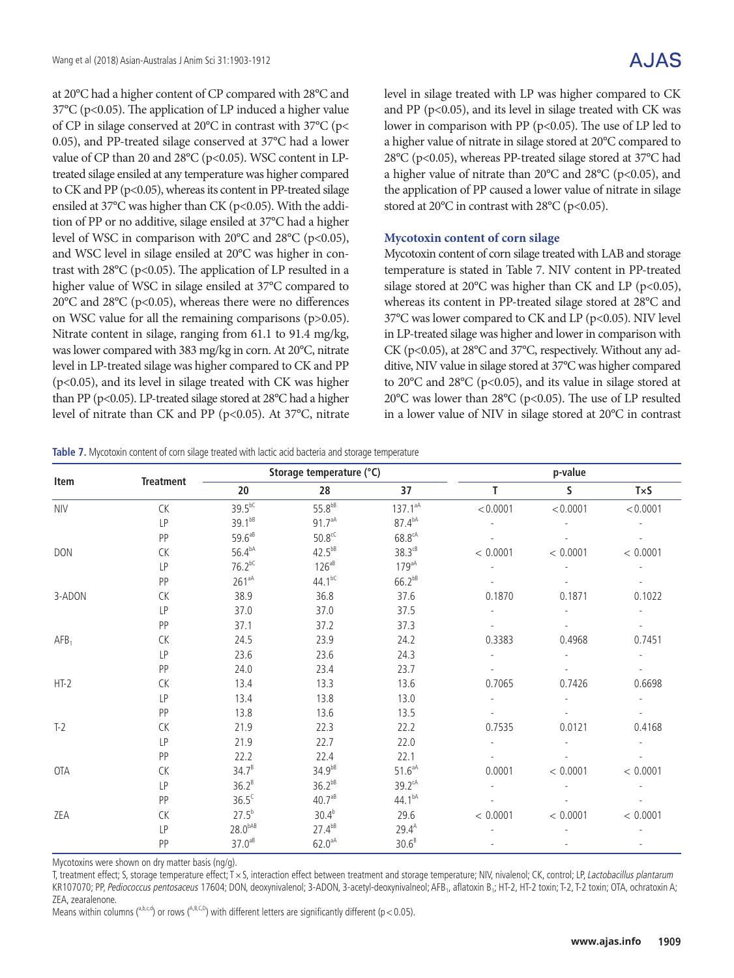at 20°C had a higher content of CP compared with 28°C and 37°C (p<0.05). The application of LP induced a higher value of CP in silage conserved at 20°C in contrast with 37°C (p< 0.05), and PP-treated silage conserved at 37°C had a lower value of CP than 20 and 28°C (p<0.05). WSC content in LPtreated silage ensiled at any temperature was higher compared to CK and PP (p<0.05), whereas its content in PP-treated silage ensiled at 37°C was higher than CK (p<0.05). With the addition of PP or no additive, silage ensiled at 37°C had a higher level of WSC in comparison with  $20^{\circ}$ C and  $28^{\circ}$ C (p<0.05), and WSC level in silage ensiled at 20°C was higher in contrast with 28°C (p<0.05). The application of LP resulted in a higher value of WSC in silage ensiled at 37°C compared to 20°C and 28°C (p<0.05), whereas there were no differences on WSC value for all the remaining comparisons (p>0.05). Nitrate content in silage, ranging from 61.1 to 91.4 mg/kg, was lower compared with 383 mg/kg in corn. At 20°C, nitrate level in LP-treated silage was higher compared to CK and PP (p<0.05), and its level in silage treated with CK was higher than PP (p<0.05). LP-treated silage stored at 28°C had a higher level of nitrate than CK and PP (p<0.05). At 37°C, nitrate level in silage treated with LP was higher compared to CK and PP ( $p<0.05$ ), and its level in silage treated with CK was lower in comparison with PP ( $p<0.05$ ). The use of LP led to a higher value of nitrate in silage stored at 20°C compared to 28°C (p<0.05), whereas PP-treated silage stored at 37°C had a higher value of nitrate than 20°C and 28°C (p<0.05), and the application of PP caused a lower value of nitrate in silage stored at 20°C in contrast with 28°C (p<0.05).

### **Mycotoxin content of corn silage**

Mycotoxin content of corn silage treated with LAB and storage temperature is stated in Table 7. NIV content in PP-treated silage stored at 20 $^{\circ}$ C was higher than CK and LP (p<0.05), whereas its content in PP-treated silage stored at 28°C and 37°C was lower compared to CK and LP (p<0.05). NIV level in LP-treated silage was higher and lower in comparison with CK (p<0.05), at 28°C and 37°C, respectively. Without any additive, NIV value in silage stored at 37°C was higher compared to 20°C and 28°C (p<0.05), and its value in silage stored at 20°C was lower than 28°C (p<0.05). The use of LP resulted in a lower value of NIV in silage stored at 20°C in contrast

|  | Table 7. Mycotoxin content of corn silage treated with lactic acid bacteria and storage temperature |  |  |  |  |  |  |
|--|-----------------------------------------------------------------------------------------------------|--|--|--|--|--|--|
|  |                                                                                                     |  |  |  |  |  |  |

|                  |                  |                    | Storage temperature (°C) |                      |          | p-value      |          |
|------------------|------------------|--------------------|--------------------------|----------------------|----------|--------------|----------|
| Item             | <b>Treatment</b> | 20                 | 28                       | 37                   | т        | $\mathsf{S}$ | TxS      |
| <b>NIV</b>       | CK               | $39.5^{bC}$        | $55.8^{bB}$              | $137.1^{aA}$         | < 0.0001 | < 0.0001     | < 0.0001 |
|                  | LP               | $39.1^{bB}$        | $91.7^{aA}$              | $87.4^{bA}$          |          |              |          |
|                  | PP               | $59.6^{ab}$        | $50.8$ <sup>cC</sup>     | $68.8^{\text{cA}}$   |          |              |          |
| <b>DON</b>       | CK               | $56.4^{bA}$        | $42.5^{bB}$              | $38.3$ <sup>cB</sup> | < 0.0001 | < 0.0001     | < 0.0001 |
|                  | LP               | $76.2^{bC}$        | $126^{ab}$               | $179aA}$             |          |              |          |
|                  | PP               | $261^{aA}$         | 44.1 <sup>bC</sup>       | $66.2^{bB}$          |          |              |          |
| 3-ADON           | CK               | 38.9               | 36.8                     | 37.6                 | 0.1870   | 0.1871       | 0.1022   |
|                  | <b>LP</b>        | 37.0               | 37.0                     | 37.5                 |          |              |          |
|                  | PP               | 37.1               | 37.2                     | 37.3                 |          |              |          |
| AFB <sub>1</sub> | CK               | 24.5               | 23.9                     | 24.2                 | 0.3383   | 0.4968       | 0.7451   |
|                  | LP               | 23.6               | 23.6                     | 24.3                 |          |              |          |
|                  | PP               | 24.0               | 23.4                     | 23.7                 |          |              |          |
| $HT-2$           | CK               | 13.4               | 13.3                     | 13.6                 | 0.7065   | 0.7426       | 0.6698   |
|                  | LP               | 13.4               | 13.8                     | 13.0                 |          |              |          |
|                  | PP               | 13.8               | 13.6                     | 13.5                 |          |              |          |
| $T-2$            | CK               | 21.9               | 22.3                     | 22.2                 | 0.7535   | 0.0121       | 0.4168   |
|                  | LP               | 21.9               | 22.7                     | 22.0                 |          |              |          |
|                  | PP               | 22.2               | 22.4                     | 22.1                 |          |              |          |
| OTA              | CK               | $34.7^{B}$         | $34.9^{bB}$              | $51.6^{\text{aA}}$   | 0.0001   | < 0.0001     | < 0.0001 |
|                  | LP               | $36.2^{B}$         | $36.2^{bB}$              | $39.2^{\text{cA}}$   |          |              |          |
|                  | PP               | $36.5^{\circ}$     | $40.7^{aB}$              | 44.1bA               |          |              |          |
| ZEA              | CK               | $27.5^{b}$         | $30.4^{b}$               | 29.6                 | < 0.0001 | < 0.0001     | < 0.0001 |
|                  | LP               | $28.0^{bAB}$       | $27.4^{bB}$              | $29.4^{A}$           |          |              |          |
|                  | PP               | $37.0^{\text{ab}}$ | $62.0aA}$                | $30.6^B$             |          |              |          |

Mycotoxins were shown on dry matter basis (ng/g).

T, treatment effect; S, storage temperature effect; T × S, interaction effect between treatment and storage temperature; NIV, nivalenol; CK, control; LP, Lactobacillus plantarum KR107070; PP, Pediococcus pentosaceus 17604; DON, deoxynivalenol; 3-ADON, 3-acetyl-deoxynivalneol; AFB<sub>1</sub>, aflatoxin B<sub>1</sub>; HT-2, HT-2 toxin; T-2, T-2 toxin; OTA, ochratoxin A; ZEA, zearalenone.

Means within columns ( $a,b,c,d$ ) or rows ( $A,B,C,D$ ) with different letters are significantly different (p < 0.05).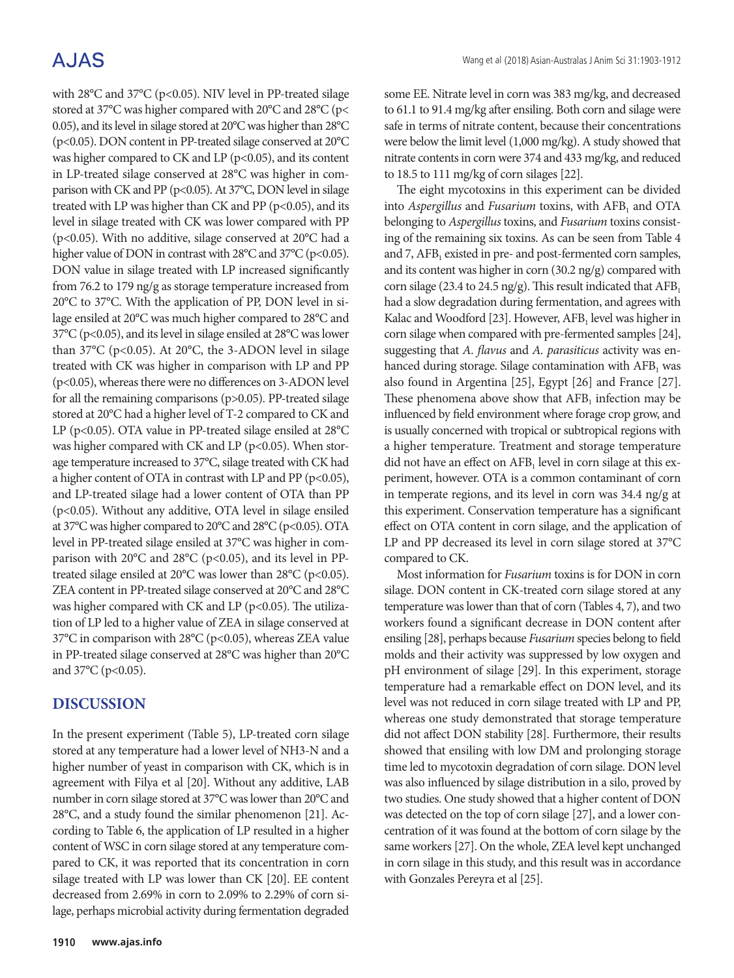with 28°C and 37°C (p<0.05). NIV level in PP-treated silage stored at 37°C was higher compared with 20°C and 28°C (p< 0.05), and its level in silage stored at 20°C was higher than 28°C (p<0.05). DON content in PP-treated silage conserved at 20°C was higher compared to CK and LP ( $p$ <0.05), and its content in LP-treated silage conserved at 28°C was higher in comparison with CK and PP (p<0.05). At 37°C, DON level in silage treated with LP was higher than CK and PP ( $p$ <0.05), and its level in silage treated with CK was lower compared with PP (p<0.05). With no additive, silage conserved at 20°C had a higher value of DON in contrast with 28°C and 37°C (p<0.05). DON value in silage treated with LP increased significantly from 76.2 to 179 ng/g as storage temperature increased from 20°C to 37°C. With the application of PP, DON level in silage ensiled at 20°C was much higher compared to 28°C and 37°C (p<0.05), and its level in silage ensiled at 28°C was lower than 37°C (p<0.05). At 20°C, the 3-ADON level in silage treated with CK was higher in comparison with LP and PP (p<0.05), whereas there were no differences on 3-ADON level for all the remaining comparisons (p>0.05). PP-treated silage stored at 20°C had a higher level of T-2 compared to CK and LP (p<0.05). OTA value in PP-treated silage ensiled at 28°C was higher compared with CK and LP ( $p$ <0.05). When storage temperature increased to 37°C, silage treated with CK had a higher content of OTA in contrast with LP and PP ( $p$ <0.05), and LP-treated silage had a lower content of OTA than PP (p<0.05). Without any additive, OTA level in silage ensiled at 37°C was higher compared to 20°C and 28°C (p<0.05). OTA level in PP-treated silage ensiled at 37°C was higher in comparison with 20°C and 28°C (p<0.05), and its level in PPtreated silage ensiled at 20 $^{\circ}$ C was lower than 28 $^{\circ}$ C (p<0.05). ZEA content in PP-treated silage conserved at 20°C and 28°C was higher compared with CK and LP ( $p$ <0.05). The utilization of LP led to a higher value of ZEA in silage conserved at 37°C in comparison with 28°C (p<0.05), whereas ZEA value in PP-treated silage conserved at 28°C was higher than 20°C and  $37^{\circ}$ C (p<0.05).

## **DISCUSSION**

In the present experiment (Table 5), LP-treated corn silage stored at any temperature had a lower level of NH3-N and a higher number of yeast in comparison with CK, which is in agreement with Filya et al [20]. Without any additive, LAB number in corn silage stored at 37°C was lower than 20°C and 28°C, and a study found the similar phenomenon [21]. According to Table 6, the application of LP resulted in a higher content of WSC in corn silage stored at any temperature compared to CK, it was reported that its concentration in corn silage treated with LP was lower than CK [20]. EE content decreased from 2.69% in corn to 2.09% to 2.29% of corn silage, perhaps microbial activity during fermentation degraded some EE. Nitrate level in corn was 383 mg/kg, and decreased to 61.1 to 91.4 mg/kg after ensiling. Both corn and silage were safe in terms of nitrate content, because their concentrations were below the limit level (1,000 mg/kg). A study showed that nitrate contents in corn were 374 and 433 mg/kg, and reduced to 18.5 to 111 mg/kg of corn silages [22].

The eight mycotoxins in this experiment can be divided into *Aspergillus* and *Fusarium* toxins, with AFB<sub>1</sub> and OTA belonging to *Aspergillus* toxins, and *Fusarium* toxins consisting of the remaining six toxins. As can be seen from Table 4 and 7,  $AFB<sub>1</sub>$  existed in pre- and post-fermented corn samples, and its content was higher in corn (30.2 ng/g) compared with corn silage (23.4 to 24.5 ng/g). This result indicated that  $AFB<sub>1</sub>$ had a slow degradation during fermentation, and agrees with Kalac and Woodford [23]. However,  $AFB<sub>1</sub>$  level was higher in corn silage when compared with pre-fermented samples [24], suggesting that *A. flavus* and *A. parasiticus* activity was enhanced during storage. Silage contamination with  $AFB<sub>1</sub>$  was also found in Argentina [25], Egypt [26] and France [27]. These phenomena above show that  $AFB<sub>1</sub>$  infection may be influenced by field environment where forage crop grow, and is usually concerned with tropical or subtropical regions with a higher temperature. Treatment and storage temperature did not have an effect on  $AFB<sub>1</sub>$  level in corn silage at this experiment, however. OTA is a common contaminant of corn in temperate regions, and its level in corn was 34.4 ng/g at this experiment. Conservation temperature has a significant effect on OTA content in corn silage, and the application of LP and PP decreased its level in corn silage stored at 37°C compared to CK.

Most information for *Fusarium* toxins is for DON in corn silage. DON content in CK-treated corn silage stored at any temperature was lower than that of corn (Tables 4, 7), and two workers found a significant decrease in DON content after ensiling [28], perhaps because *Fusarium* species belong to field molds and their activity was suppressed by low oxygen and pH environment of silage [29]. In this experiment, storage temperature had a remarkable effect on DON level, and its level was not reduced in corn silage treated with LP and PP, whereas one study demonstrated that storage temperature did not affect DON stability [28]. Furthermore, their results showed that ensiling with low DM and prolonging storage time led to mycotoxin degradation of corn silage. DON level was also influenced by silage distribution in a silo, proved by two studies. One study showed that a higher content of DON was detected on the top of corn silage [27], and a lower concentration of it was found at the bottom of corn silage by the same workers [27]. On the whole, ZEA level kept unchanged in corn silage in this study, and this result was in accordance with Gonzales Pereyra et al [25].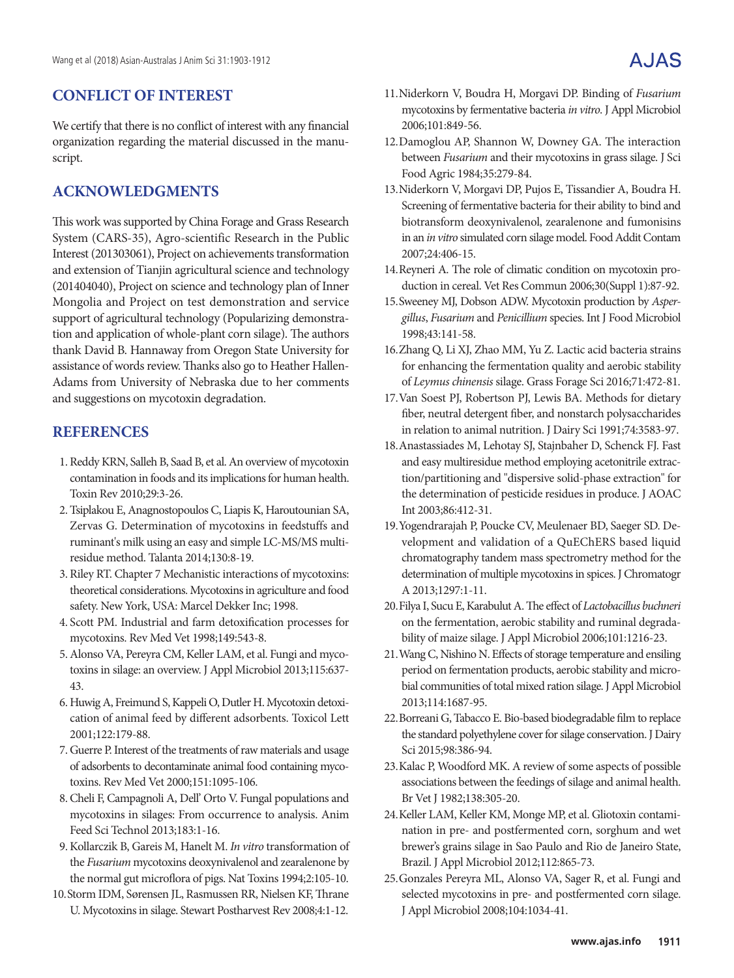## **CONFLICT OF INTEREST**

We certify that there is no conflict of interest with any financial organization regarding the material discussed in the manuscript.

## **ACKNOWLEDGMENTS**

This work was supported by China Forage and Grass Research System (CARS-35), Agro-scientific Research in the Public Interest (201303061), Project on achievements transformation and extension of Tianjin agricultural science and technology (201404040), Project on science and technology plan of Inner Mongolia and Project on test demonstration and service support of agricultural technology (Popularizing demonstration and application of whole-plant corn silage). The authors thank David B. Hannaway from Oregon State University for assistance of words review. Thanks also go to Heather Hallen-Adams from University of Nebraska due to her comments and suggestions on mycotoxin degradation.

## **REFERENCES**

- 1. Reddy KRN, Salleh B, Saad B, et al. An overview of mycotoxin contamination in foods and its implications for human health. Toxin Rev 2010;29:3-26.
- 2. Tsiplakou E, Anagnostopoulos C, Liapis K, Haroutounian SA, Zervas G. Determination of mycotoxins in feedstuffs and ruminant's milk using an easy and simple LC-MS/MS multiresidue method. Talanta 2014;130:8-19.
- 3. Riley RT. Chapter 7 Mechanistic interactions of mycotoxins: theoretical considerations. Mycotoxins in agriculture and food safety. New York, USA: Marcel Dekker Inc; 1998.
- 4. Scott PM. Industrial and farm detoxification processes for mycotoxins. Rev Med Vet 1998;149:543-8.
- 5.Alonso VA, Pereyra CM, Keller LAM, et al. Fungi and mycotoxins in silage: an overview. J Appl Microbiol 2013;115:637-43.
- 6. Huwig A, Freimund S, Kappeli O, Dutler H. Mycotoxin detoxication of animal feed by different adsorbents. Toxicol Lett 2001;122:179-88.
- 7. Guerre P. Interest of the treatments of raw materials and usage of adsorbents to decontaminate animal food containing mycotoxins. Rev Med Vet 2000;151:1095-106.
- 8.Cheli F, Campagnoli A, Dell' Orto V. Fungal populations and mycotoxins in silages: From occurrence to analysis. Anim Feed Sci Technol 2013;183:1-16.
- 9.Kollarczik B, Gareis M, Hanelt M. *In vitro* transformation of the *Fusarium* mycotoxins deoxynivalenol and zearalenone by the normal gut microflora of pigs. Nat Toxins 1994;2:105-10.
- 10.Storm IDM, Sørensen JL, Rasmussen RR, Nielsen KF, Thrane U. Mycotoxins in silage. Stewart Postharvest Rev 2008;4:1-12.
- 11.Niderkorn V, Boudra H, Morgavi DP. Binding of *Fusarium*  mycotoxins by fermentative bacteria *in vitro*. J Appl Microbiol 2006;101:849-56.
- 12.Damoglou AP, Shannon W, Downey GA. The interaction between *Fusarium* and their mycotoxins in grass silage. J Sci Food Agric 1984;35:279-84.
- 13.Niderkorn V, Morgavi DP, Pujos E, Tissandier A, Boudra H. Screening of fermentative bacteria for their ability to bind and biotransform deoxynivalenol, zearalenone and fumonisins in an *in vitro* simulated corn silage model. Food Addit Contam 2007;24:406-15.
- 14.Reyneri A. The role of climatic condition on mycotoxin production in cereal. Vet Res Commun 2006;30(Suppl 1):87-92.
- 15.Sweeney MJ, Dobson ADW. Mycotoxin production by *Aspergillus*, *Fusarium* and *Penicillium* species. Int J Food Microbiol 1998;43:141-58.
- 16.Zhang Q, Li XJ, Zhao MM, Yu Z. Lactic acid bacteria strains for enhancing the fermentation quality and aerobic stability of *Leymus chinensis* silage. Grass Forage Sci 2016;71:472-81.
- 17.Van Soest PJ, Robertson PJ, Lewis BA. Methods for dietary fiber, neutral detergent fiber, and nonstarch polysaccharides in relation to animal nutrition. J Dairy Sci 1991;74:3583-97.
- 18.Anastassiades M, Lehotay SJ, Stajnbaher D, Schenck FJ. Fast and easy multiresidue method employing acetonitrile extraction/partitioning and "dispersive solid-phase extraction" for the determination of pesticide residues in produce. J AOAC Int 2003;86:412-31.
- 19.Yogendrarajah P, Poucke CV, Meulenaer BD, Saeger SD. Development and validation of a QuEChERS based liquid chromatography tandem mass spectrometry method for the determination of multiple mycotoxins in spices. J Chromatogr A 2013;1297:1-11.
- 20.Filya I, Sucu E, Karabulut A. The effect of *Lactobacillus buchneri* on the fermentation, aerobic stability and ruminal degradability of maize silage. J Appl Microbiol 2006;101:1216-23.
- 21.Wang C, Nishino N. Effects of storage temperature and ensiling period on fermentation products, aerobic stability and microbial communities of total mixed ration silage. J Appl Microbiol 2013;114:1687-95.
- 22.Borreani G, Tabacco E. Bio-based biodegradable film to replace the standard polyethylene cover for silage conservation. J Dairy Sci 2015;98:386-94.
- 23.Kalac P, Woodford MK. A review of some aspects of possible associations between the feedings of silage and animal health. Br Vet J 1982;138:305-20.
- 24.Keller LAM, Keller KM, Monge MP, et al. Gliotoxin contamination in pre- and postfermented corn, sorghum and wet brewer's grains silage in Sao Paulo and Rio de Janeiro State, Brazil. J Appl Microbiol 2012;112:865-73.
- 25.Gonzales Pereyra ML, Alonso VA, Sager R, et al. Fungi and selected mycotoxins in pre- and postfermented corn silage. J Appl Microbiol 2008;104:1034-41.